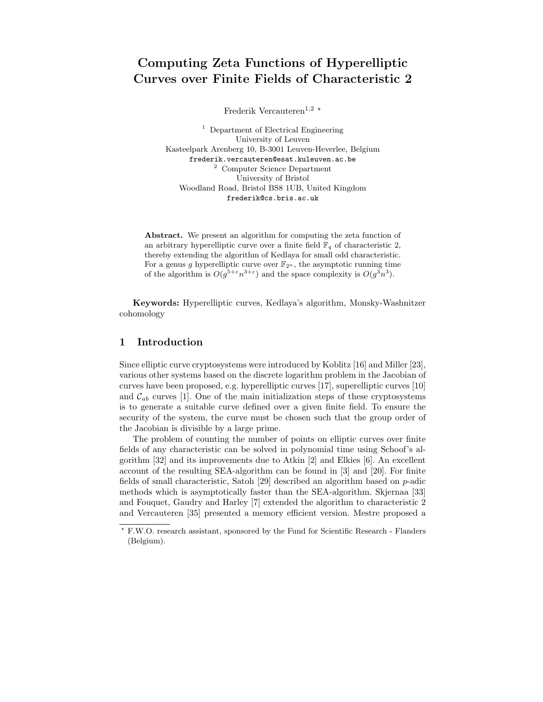# Computing Zeta Functions of Hyperelliptic Curves over Finite Fields of Characteristic 2

Frederik Vercauteren<sup>1,2  $\star$ </sup>

<sup>1</sup> Department of Electrical Engineering University of Leuven Kasteelpark Arenberg 10, B-3001 Leuven-Heverlee, Belgium frederik.vercauteren@esat.kuleuven.ac.be <sup>2</sup> Computer Science Department University of Bristol Woodland Road, Bristol BS8 1UB, United Kingdom frederik@cs.bris.ac.uk

Abstract. We present an algorithm for computing the zeta function of an arbitrary hyperelliptic curve over a finite field  $\mathbb{F}_q$  of characteristic 2, thereby extending the algorithm of Kedlaya for small odd characteristic. For a genus g hyperelliptic curve over  $\mathbb{F}_{2^n}$ , the asymptotic running time of the algorithm is  $O(g^{5+\epsilon}n^{3+\epsilon})$  and the space complexity is  $O(g^3n^3)$ .

Keywords: Hyperelliptic curves, Kedlaya's algorithm, Monsky-Washnitzer cohomology

# 1 Introduction

Since elliptic curve cryptosystems were introduced by Koblitz [16] and Miller [23], various other systems based on the discrete logarithm problem in the Jacobian of curves have been proposed, e.g. hyperelliptic curves [17], superelliptic curves [10] and  $\mathcal{C}_{ab}$  curves [1]. One of the main initialization steps of these cryptosystems is to generate a suitable curve defined over a given finite field. To ensure the security of the system, the curve must be chosen such that the group order of the Jacobian is divisible by a large prime.

The problem of counting the number of points on elliptic curves over finite fields of any characteristic can be solved in polynomial time using Schoof's algorithm [32] and its improvements due to Atkin [2] and Elkies [6]. An excellent account of the resulting SEA-algorithm can be found in [3] and [20]. For finite fields of small characteristic, Satoh [29] described an algorithm based on p-adic methods which is asymptotically faster than the SEA-algorithm. Skjernaa [33] and Fouquet, Gaudry and Harley [7] extended the algorithm to characteristic 2 and Vercauteren [35] presented a memory efficient version. Mestre proposed a

<sup>?</sup> F.W.O. research assistant, sponsored by the Fund for Scientific Research - Flanders (Belgium).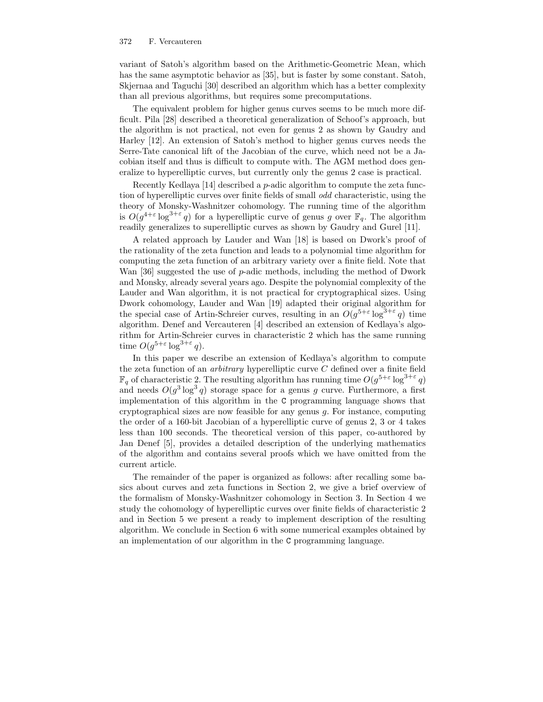variant of Satoh's algorithm based on the Arithmetic-Geometric Mean, which has the same asymptotic behavior as [35], but is faster by some constant. Satoh, Skjernaa and Taguchi [30] described an algorithm which has a better complexity than all previous algorithms, but requires some precomputations.

The equivalent problem for higher genus curves seems to be much more difficult. Pila [28] described a theoretical generalization of Schoof's approach, but the algorithm is not practical, not even for genus 2 as shown by Gaudry and Harley [12]. An extension of Satoh's method to higher genus curves needs the Serre-Tate canonical lift of the Jacobian of the curve, which need not be a Jacobian itself and thus is difficult to compute with. The AGM method does generalize to hyperelliptic curves, but currently only the genus 2 case is practical.

Recently Kedlaya [14] described a p-adic algorithm to compute the zeta function of hyperelliptic curves over finite fields of small odd characteristic, using the theory of Monsky-Washnitzer cohomology. The running time of the algorithm is  $O(g^{4+\epsilon} \log^{3+\epsilon} q)$  for a hyperelliptic curve of genus g over  $\mathbb{F}_q$ . The algorithm readily generalizes to superelliptic curves as shown by Gaudry and Gurel [11].

A related approach by Lauder and Wan [18] is based on Dwork's proof of the rationality of the zeta function and leads to a polynomial time algorithm for computing the zeta function of an arbitrary variety over a finite field. Note that Wan [36] suggested the use of  $p$ -adic methods, including the method of Dwork and Monsky, already several years ago. Despite the polynomial complexity of the Lauder and Wan algorithm, it is not practical for cryptographical sizes. Using Dwork cohomology, Lauder and Wan [19] adapted their original algorithm for the special case of Artin-Schreier curves, resulting in an  $O(g^{5+\epsilon} \log^{3+\epsilon} q)$  time algorithm. Denef and Vercauteren [4] described an extension of Kedlaya's algorithm for Artin-Schreier curves in characteristic 2 which has the same running time  $O(g^{5+\varepsilon} \log^{3+\varepsilon} q)$ .

In this paper we describe an extension of Kedlaya's algorithm to compute the zeta function of an *arbitrary* hyperelliptic curve  $C$  defined over a finite field  $\mathbb{F}_q$  of characteristic 2. The resulting algorithm has running time  $O(g^{5+\varepsilon} \log^{3+\varepsilon} q)$ and needs  $O(g^3 \log^3 q)$  storage space for a genus g curve. Furthermore, a first implementation of this algorithm in the C programming language shows that cryptographical sizes are now feasible for any genus  $q$ . For instance, computing the order of a 160-bit Jacobian of a hyperelliptic curve of genus 2, 3 or 4 takes less than 100 seconds. The theoretical version of this paper, co-authored by Jan Denef [5], provides a detailed description of the underlying mathematics of the algorithm and contains several proofs which we have omitted from the current article.

The remainder of the paper is organized as follows: after recalling some basics about curves and zeta functions in Section 2, we give a brief overview of the formalism of Monsky-Washnitzer cohomology in Section 3. In Section 4 we study the cohomology of hyperelliptic curves over finite fields of characteristic 2 and in Section 5 we present a ready to implement description of the resulting algorithm. We conclude in Section 6 with some numerical examples obtained by an implementation of our algorithm in the C programming language.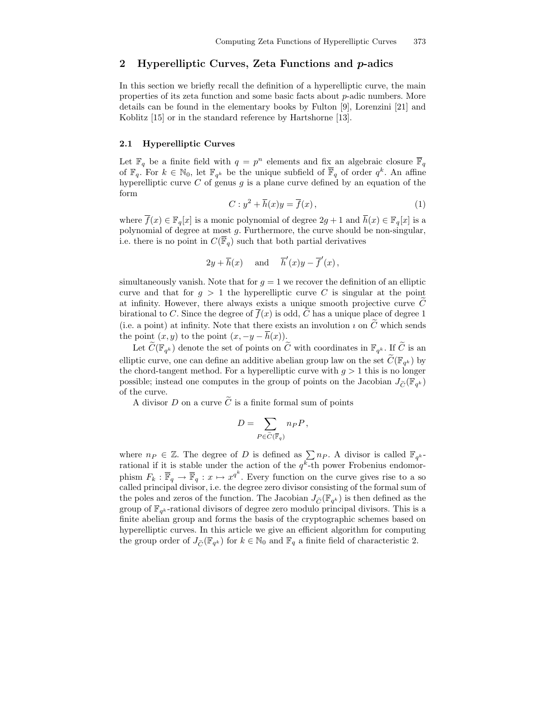# 2 Hyperelliptic Curves, Zeta Functions and  $p$ -adics

In this section we briefly recall the definition of a hyperelliptic curve, the main properties of its zeta function and some basic facts about p-adic numbers. More details can be found in the elementary books by Fulton [9], Lorenzini [21] and Koblitz [15] or in the standard reference by Hartshorne [13].

## 2.1 Hyperelliptic Curves

Let  $\mathbb{F}_q$  be a finite field with  $q = p^n$  elements and fix an algebraic closure  $\overline{\mathbb{F}}_q$ of  $\mathbb{F}_q$ . For  $k \in \mathbb{N}_0$ , let  $\mathbb{F}_{q^k}$  be the unique subfield of  $\overline{\mathbb{F}}_q$  of order  $q^k$ . An affine hyperelliptic curve C of genus q is a plane curve defined by an equation of the form

$$
C: y^2 + \overline{h}(x)y = \overline{f}(x), \qquad (1)
$$

where  $\overline{f}(x) \in \mathbb{F}_q[x]$  is a monic polynomial of degree  $2g + 1$  and  $\overline{h}(x) \in \mathbb{F}_q[x]$  is a polynomial of degree at most g. Furthermore, the curve should be non-singular, i.e. there is no point in  $C(\overline{\mathbb{F}}_q)$  such that both partial derivatives

$$
2y + \overline{h}(x)
$$
 and  $\overline{h}'(x)y - \overline{f}'(x)$ ,

simultaneously vanish. Note that for  $g = 1$  we recover the definition of an elliptic curve and that for  $g > 1$  the hyperelliptic curve C is singular at the point at infinity. However, there always exists a unique smooth projective curve  $C$ birational to C. Since the degree of  $\overline{f}(x)$  is odd, C has a unique place of degree 1 (i.e. a point) at infinity. Note that there exists an involution  $\imath$  on  $\ddot{C}$  which sends the point  $(x, y)$  to the point  $(x, -y - \overline{h}(x))$ .

Let  $C(\mathbb{F}_{q^k})$  denote the set of points on C with coordinates in  $\mathbb{F}_{q^k}$ . If C is an elliptic curve, one can define an additive abelian group law on the set  $C(\mathbb{F}_{q^k})$  by the chord-tangent method. For a hyperelliptic curve with  $q > 1$  this is no longer possible; instead one computes in the group of points on the Jacobian  $J_{\tilde{C}}(\mathbb{F}_{q^k})$ of the curve.

A divisor D on a curve  $\tilde{C}$  is a finite formal sum of points

$$
D=\sum_{P\in \widetilde{C}(\overline{\mathbb{F}}_q)}n_P P\,,
$$

where  $n_P \in \mathbb{Z}$ . The degree of D is defined as  $\sum_{n_P} n_P$ . A divisor is called  $\mathbb{F}_{q^k}$ rational if it is stable under the action of the  $q^k$ -th power Frobenius endomorphism  $F_k : \overline{\mathbb{F}}_q \to \overline{\mathbb{F}}_q : x \mapsto x^{q^k}$ . Every function on the curve gives rise to a so called principal divisor, i.e. the degree zero divisor consisting of the formal sum of the poles and zeros of the function. The Jacobian  $J_{\tilde{C}}(\mathbb{F}_{q^k})$  is then defined as the group of  $\mathbb{F}_{q^k}$ -rational divisors of degree zero modulo principal divisors. This is a finite abelian group and forms the basis of the cryptographic schemes based on hyperelliptic curves. In this article we give an efficient algorithm for computing the group order of  $J_{\widetilde{C}}(\mathbb{F}_{q^k})$  for  $k \in \mathbb{N}_0$  and  $\mathbb{F}_q$  a finite field of characteristic 2.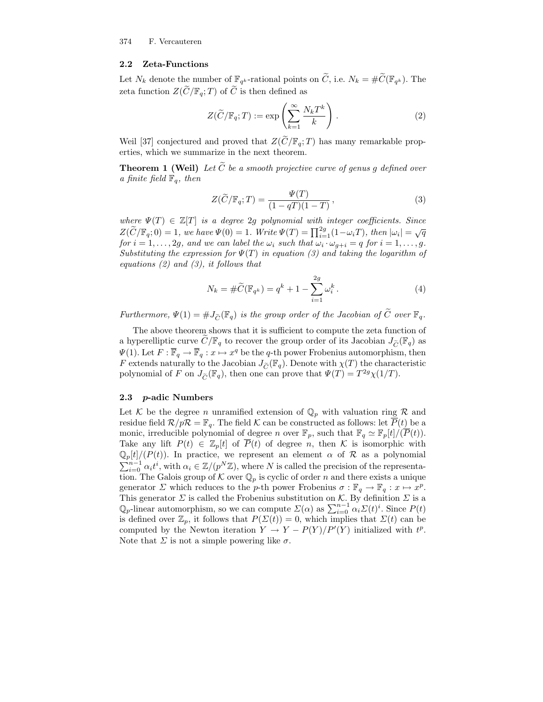## 2.2 Zeta-Functions

Let  $N_k$  denote the number of  $\mathbb{F}_{q^k}$ -rational points on C, i.e.  $N_k = \#C(\mathbb{F}_{q^k})$ . The zeta function  $Z(\tilde{C}/\mathbb{F}_q;T)$  of  $\tilde{C}$  is then defined as

$$
Z(\widetilde{C}/\mathbb{F}_q;T) := \exp\left(\sum_{k=1}^{\infty} \frac{N_k T^k}{k}\right).
$$
 (2)

Weil [37] conjectured and proved that  $Z(\widetilde{C}/\mathbb{F}_q; T)$  has many remarkable properties, which we summarize in the next theorem.

**Theorem 1 (Weil)** Let  $\tilde{C}$  be a smooth projective curve of genus q defined over a finite field  $\mathbb{F}_q$ , then

$$
Z(\widetilde{C}/\mathbb{F}_q;T) = \frac{\Psi(T)}{(1-qT)(1-T)},
$$
\n(3)

where  $\Psi(T) \in \mathbb{Z}[T]$  is a degree 2g polynomial with integer coefficients. Since  $Z(\widetilde{C}/\mathbb{F}_q;0)=1$ , we have  $\Psi(0)=1$ . Write  $\Psi(T)=\prod_{i=1}^{2g}(1-\omega_i T)$ , then  $|\omega_i|=\sqrt{q}$ for  $i = 1, \ldots, 2g$ , and we can label the  $\omega_i$  such that  $\omega_i \cdot \omega_{g+i} = q$  for  $i = 1, \ldots, g$ . Substituting the expression for  $\Psi(T)$  in equation (3) and taking the logarithm of equations  $(2)$  and  $(3)$ , it follows that

$$
N_k = \# \widetilde{C}(\mathbb{F}_{q^k}) = q^k + 1 - \sum_{i=1}^{2g} \omega_i^k.
$$
 (4)

Furthermore,  $\Psi(1) = \#J_{\widetilde{C}}(\mathbb{F}_q)$  is the group order of the Jacobian of  $\widetilde{C}$  over  $\mathbb{F}_q$ .

The above theorem shows that it is sufficient to compute the zeta function of a hyperelliptic curve  $\tilde{C}/\mathbb{F}_q$  to recover the group order of its Jacobian  $J_{\tilde{C}}(\mathbb{F}_q)$  as  $\Psi(1)$ . Let  $F: \overline{\mathbb{F}}_q \to \overline{\mathbb{F}}_q : x \mapsto x^q$  be the q-th power Frobenius automorphism, then F extends naturally to the Jacobian  $J_{\tilde{C}}(\mathbb{F}_q)$ . Denote with  $\chi(T)$  the characteristic polynomial of F on  $J_{\tilde{C}}(\mathbb{F}_q)$ , then one can prove that  $\Psi(T) = T^{2g} \chi(1/T)$ .

## 2.3 p-adic Numbers

Let  $K$  be the degree n unramified extension of  $\mathbb{Q}_p$  with valuation ring R and residue field  $\mathcal{R}/p\mathcal{R} = \mathbb{F}_q$ . The field K can be constructed as follows: let  $\overline{P}(t)$  be a monic, irreducible polynomial of degree n over  $\mathbb{F}_p$ , such that  $\mathbb{F}_q \simeq \mathbb{F}_p[t]/(\overline{P}(t)).$ Take any lift  $P(t) \in \mathbb{Z}_p[t]$  of  $\overline{P}(t)$  of degree n, then K is isomorphic with  $\mathbb{Q}_p[t]/(P(t))$ . In practice, we represent an element  $\alpha$  of  $\mathcal R$  as a polynomial  $\sum_{i=0}^{n-1} \alpha_i t^i$ , with  $\alpha_i \in \mathbb{Z}/(p^N \mathbb{Z})$ , where N is called the precision of the representation. The Galois group of  $K$  over  $\mathbb{Q}_p$  is cyclic of order n and there exists a unique generator  $\Sigma$  which reduces to the p-th power Frobenius  $\sigma : \mathbb{F}_q \to \mathbb{F}_q : x \mapsto x^p$ . This generator  $\Sigma$  is called the Frobenius substitution on K. By definition  $\Sigma$  is a  $\mathbb{Q}_p$ -linear automorphism, so we can compute  $\Sigma(\alpha)$  as  $\sum_{i=0}^{n-1} \alpha_i \Sigma(t)^i$ . Since  $P(t)$ is defined over  $\mathbb{Z}_p$ , it follows that  $P(\Sigma(t)) = 0$ , which implies that  $\Sigma(t)$  can be computed by the Newton iteration  $Y \to Y - P(Y)/P'(Y)$  initialized with  $t^p$ . Note that  $\Sigma$  is not a simple powering like  $\sigma$ .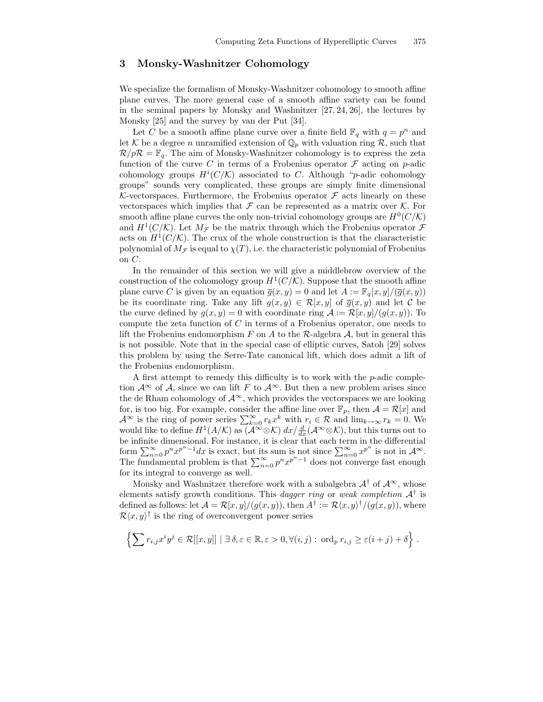## 3 Monsky-Washnitzer Cohomology

We specialize the formalism of Monsky-Washnitzer cohomology to smooth affine plane curves. The more general case of a smooth affine variety can be found in the seminal papers by Monsky and Washnitzer [27, 24, 26], the lectures by Monsky [25] and the survey by van der Put [34].

Let C be a smooth affine plane curve over a finite field  $\mathbb{F}_q$  with  $q = p^n$  and let K be a degree *n* unramified extension of  $\mathbb{Q}_p$  with valuation ring R, such that  $\mathcal{R}/p\mathcal{R} = \mathbb{F}_q$ . The aim of Monsky-Washnitzer cohomology is to express the zeta function of the curve C in terms of a Frobenius operator  $\mathcal F$  acting on p-adic cohomology groups  $H^{i}(C/\mathcal{K})$  associated to C. Although "p-adic cohomology groups" sounds very complicated, these groups are simply finite dimensional K-vectorspaces. Furthermore, the Frobenius operator  $\mathcal F$  acts linearly on these vectorspaces which implies that  $\mathcal F$  can be represented as a matrix over  $\mathcal K$ . For smooth affine plane curves the only non-trivial cohomology groups are  $H^0(C/K)$ and  $H^1(C/K)$ . Let  $M_{\mathcal{F}}$  be the matrix through which the Frobenius operator  $\mathcal F$ acts on  $H^1(C/K)$ . The crux of the whole construction is that the characteristic polynomial of  $M_{\mathcal{F}}$  is equal to  $\chi(T)$ , i.e. the characteristic polynomial of Frobenius on C.

In the remainder of this section we will give a middlebrow overview of the construction of the cohomology group  $H^1(C/\mathcal{K})$ . Suppose that the smooth affine plane curve C is given by an equation  $\overline{g}(x, y) = 0$  and let  $A := \mathbb{F}_q[x, y]/(\overline{g}(x, y))$ be its coordinate ring. Take any lift  $g(x, y) \in \mathcal{R}[x, y]$  of  $\overline{g}(x, y)$  and let C be the curve defined by  $q(x, y) = 0$  with coordinate ring  $\mathcal{A} := \mathcal{R}[x, y]/(q(x, y))$ . To compute the zeta function of  $C$  in terms of a Frobenius operator, one needs to lift the Frobenius endomorphism F on A to the R-algebra  $A$ , but in general this is not possible. Note that in the special case of elliptic curves, Satoh [29] solves this problem by using the Serre-Tate canonical lift, which does admit a lift of the Frobenius endomorphism.

A first attempt to remedy this difficulty is to work with the  $p$ -adic completion  $\mathcal{A}^{\infty}$  of  $\mathcal{A}$ , since we can lift F to  $\mathcal{A}^{\infty}$ . But then a new problem arises since the de Rham cohomology of  $\mathcal{A}^{\infty}$ , which provides the vectorspaces we are looking for, is too big. For example, consider the affine line over  $\mathbb{F}_p$ , then  $\mathcal{A} = \mathcal{R}[x]$  and  $\mathcal{A}^{\infty}$  is the ring of power series  $\sum_{k=0}^{\infty} r_k x^k$  with  $r_i \in \mathcal{R}$  and  $\lim_{k \to \infty} r_k = 0$ . We would like to define  $H^1(A/\mathcal{K})$  as  $(\mathcal{A}^{\infty} \otimes \mathcal{K}) dx/\frac{d}{dx}(\mathcal{A}^{\infty} \otimes \mathcal{K})$ , but this turns out to be infinite dimensional. For instance, it is clear that each term in the differential form  $\sum_{n=0}^{\infty} p^n x^{p^n-1} dx$  is exact, but its sum is not since  $\sum_{n=0}^{\infty} x^{p^n}$  is not in  $\mathcal{A}^{\infty}$ . The fundamental problem is that  $\sum_{n=0}^{\infty} p^n x^{p^n-1}$  does not converge fast enough for its integral to converge as well.

Monsky and Washnitzer therefore work with a subalgebra  $\mathcal{A}^{\dagger}$  of  $\mathcal{A}^{\infty}$ , whose elements satisfy growth conditions. This *dagger ring* or *weak completion*  $A^{\dagger}$  is defined as follows: let  $\mathcal{A} = \mathcal{R}[x, y]/(g(x, y))$ , then  $A^{\dagger} := \mathcal{R}\langle x, y \rangle^{\dagger}/(g(x, y))$ , where  $\mathcal{R}\langle x,y\rangle^{\dagger}$  is the ring of overconvergent power series

$$
\left\{\sum r_{i,j}x^iy^j\in\mathcal{R}[[x,y]]\mid \exists \,\delta,\varepsilon\in\mathbb{R},\varepsilon>0,\forall (i,j):\,\operatorname{ord}_pr_{i,j}\geq\varepsilon(i+j)+\delta\right\}\,.
$$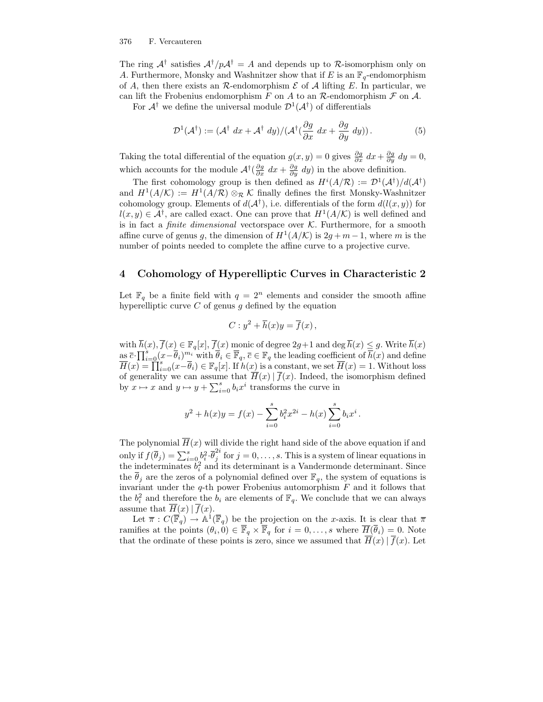The ring  $A^{\dagger}$  satisfies  $A^{\dagger}/pA^{\dagger} = A$  and depends up to R-isomorphism only on A. Furthermore, Monsky and Washnitzer show that if E is an  $\mathbb{F}_q$ -endomorphism of A, then there exists an  $\mathcal R$ -endomorphism  $\mathcal E$  of A lifting E. In particular, we can lift the Frobenius endomorphism F on A to an R-endomorphism  $\mathcal F$  on  $\mathcal A$ .

For  $A^{\dagger}$  we define the universal module  $\mathcal{D}^1(A^{\dagger})$  of differentials

$$
\mathcal{D}^1(\mathcal{A}^\dagger) := (\mathcal{A}^\dagger dx + \mathcal{A}^\dagger dy) / (\mathcal{A}^\dagger (\frac{\partial g}{\partial x} dx + \frac{\partial g}{\partial y} dy)).
$$
 (5)

Taking the total differential of the equation  $g(x, y) = 0$  gives  $\frac{\partial g}{\partial x} dx + \frac{\partial g}{\partial y} dy = 0$ , which accounts for the module  $\mathcal{A}^{\dagger}(\frac{\partial g}{\partial x} dx + \frac{\partial g}{\partial y} dy)$  in the above definition.

The first cohomology group is then defined as  $H^{i}(A/R) := \mathcal{D}^{1}(A^{\dagger})/d(A^{\dagger})$ and  $H^1(A/K) := H^1(A/R) \otimes_R K$  finally defines the first Monsky-Washnitzer cohomology group. Elements of  $d(\mathcal{A}^{\dagger})$ , i.e. differentials of the form  $d(l(x, y))$  for  $l(x, y) \in \mathcal{A}^{\dagger}$ , are called exact. One can prove that  $H^1(A/\mathcal{K})$  is well defined and is in fact a *finite dimensional* vectorspace over  $K$ . Furthermore, for a smooth affine curve of genus g, the dimension of  $H^1(A/K)$  is  $2g + m - 1$ , where m is the number of points needed to complete the affine curve to a projective curve.

## 4 Cohomology of Hyperelliptic Curves in Characteristic 2

Let  $\mathbb{F}_q$  be a finite field with  $q = 2^n$  elements and consider the smooth affine hyperelliptic curve  $C$  of genus  $g$  defined by the equation

$$
C: y^2 + \overline{h}(x)y = \overline{f}(x),
$$

with  $h(x)$ ,  $f(x) \in \mathbb{F}_q[x]$ ,  $f(x)$  monic of degree  $2g+1$  and  $\deg h(x) \leq g$ . Write  $h(x)$  $\overline{c}\cdot \prod_{i=0}^s (x-\overline{\theta}_i)^{m_i}$  with  $\overline{\theta}_i \in \overline{\mathbb{F}}_q$ ,  $\overline{c} \in \mathbb{F}_q$  the leading coefficient of  $\overline{h}(x)$  and define  $\overline{H}(x) = \prod_{i=0}^{s} (x - \overline{\theta}_i) \in \mathbb{F}_q[x]$ . If  $h(x)$  is a constant, we set  $\overline{H}(x) = 1$ . Without loss of generality we can assume that  $\overline{H}(x) | \overline{f}(x)$ . Indeed, the isomorphism defined by  $x \mapsto x$  and  $y \mapsto y + \sum_{i=0}^{s} b_i x^i$  transforms the curve in

$$
y^{2} + h(x)y = f(x) - \sum_{i=0}^{s} b_{i}^{2} x^{2i} - h(x) \sum_{i=0}^{s} b_{i} x^{i}.
$$

The polynomial  $\overline{H}(x)$  will divide the right hand side of the above equation if and only if  $f(\overline{\theta}_j) = \sum_{i=0}^s b_i^2 \cdot \overline{\theta}_j^{2i}$  $j \text{ for } j = 0, \ldots, s$ . This is a system of linear equations in the indeterminates  $b_i^2$  and its determinant is a Vandermonde determinant. Since the  $\overline{\theta}_j$  are the zeros of a polynomial defined over  $\mathbb{F}_q$ , the system of equations is invariant under the  $q$ -th power Frobenius automorphism  $F$  and it follows that the  $b_i^2$  and therefore the  $b_i$  are elements of  $\mathbb{F}_q$ . We conclude that we can always assume that  $\overline{H}(x) | \overline{f}(x)$ .

Let  $\overline{\pi}: C(\overline{\mathbb{F}}_q) \to \mathbb{A}^1(\overline{\mathbb{F}}_q)$  be the projection on the x-axis. It is clear that  $\overline{\pi}$ ramifies at the points  $(\theta_i, 0) \in \mathbb{F}_q \times \mathbb{F}_q$  for  $i = 0, \ldots, s$  where  $H(\theta_i) = 0$ . Note that the ordinate of these points is zero, since we assumed that  $\overline{H}(x) | \overline{f}(x)$ . Let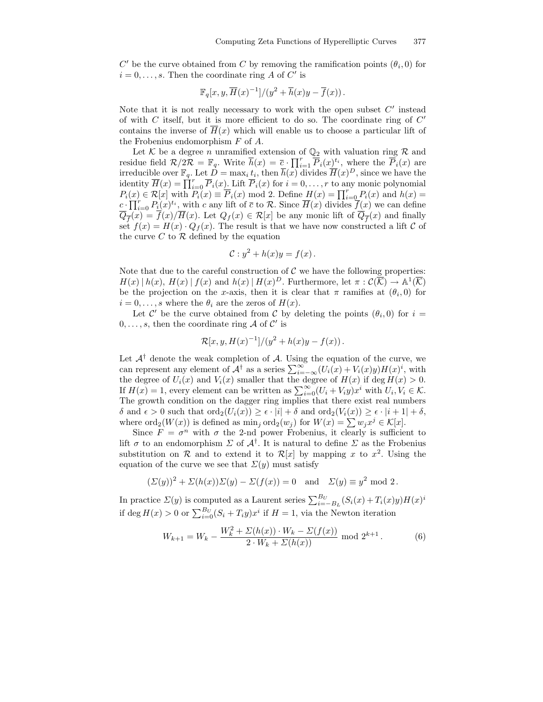$C'$  be the curve obtained from  $C$  by removing the ramification points  $(\theta_i, 0)$  for  $i = 0, \ldots, s$ . Then the coordinate ring A of C' is

$$
\mathbb{F}_q[x, y, \overline{H}(x)^{-1}]/(y^2 + \overline{h}(x)y - \overline{f}(x)).
$$

Note that it is not really necessary to work with the open subset  $C'$  instead of with  $C$  itself, but it is more efficient to do so. The coordinate ring of  $C'$ contains the inverse of  $\overline{H}(x)$  which will enable us to choose a particular lift of the Frobenius endomorphism F of A.

Let  $K$  be a degree *n* unramified extension of  $\mathbb{Q}_2$  with valuation ring  $\mathcal{R}$  and residue field  $\mathcal{R}/2\mathcal{R} = \mathbb{F}_q$ . Write  $\overline{h}(x) = \overline{c} \cdot \prod_{i=1}^r \overline{P}_i(x)$ <sup>t</sup>i, where the  $\overline{P}_i(x)$  are irreducible over  $\mathbb{F}_q$ . Let  $D = \max_i t_i$ , then  $\overline{h}(x)$  divides  $\overline{H}(x)^D$ , since we have the identity  $\overline{H}(x) = \prod_{i=0}^{r} \overline{P}_i(x)$ . Lift  $\overline{P}_i(x)$  for  $i = 0, \ldots, r$  to any monic polynomial  $P_i(x) \in \mathcal{R}[x]$  with  $P_i(x) \equiv \overline{P}_i(x) \mod 2$ . Define  $H(x) = \prod_{i=0}^r P_i(x)$  and  $h(x) =$  $c \cdot \prod_{i=0}^r P_i(x)^{t_i}$ , with c any lift of  $\overline{c}$  to R. Since  $\overline{H}(x)$  divides  $f(x)$  we can define  $Q_{\overline{f}}(x) = f(x)/H(x)$ . Let  $Q_f(x) \in \mathcal{R}[x]$  be any monic lift of  $Q_{\overline{f}}(x)$  and finally set  $f(x) = H(x) \cdot Q_f(x)$ . The result is that we have now constructed a lift C of the curve  $C$  to  $R$  defined by the equation

$$
\mathcal{C}: y^2 + h(x)y = f(x).
$$

Note that due to the careful construction of  $\mathcal C$  we have the following properties:  $H(x) | h(x), H(x) | f(x)$  and  $h(x) | H(x)^D$ . Furthermore, let  $\pi : \mathcal{C}(\overline{\mathcal{K}}) \to \mathbb{A}^1(\overline{\mathcal{K}})$ be the projection on the x-axis, then it is clear that  $\pi$  ramifies at  $(\theta_i, 0)$  for  $i = 0, \ldots, s$  where the  $\theta_i$  are the zeros of  $H(x)$ .

Let  $\mathcal{C}'$  be the curve obtained from  $\mathcal{C}$  by deleting the points  $(\theta_i, 0)$  for  $i =$  $0, \ldots, s$ , then the coordinate ring A of C' is

$$
\mathcal{R}[x, y, H(x)^{-1}]/(y^2 + h(x)y - f(x)).
$$

Let  $A^{\dagger}$  denote the weak completion of A. Using the equation of the curve, we can represent any element of  $\mathcal{A}^{\dagger}$  as a series  $\sum_{i=-\infty}^{\infty} (U_i(x) + V_i(x)y)H(x)^i$ , with the degree of  $U_i(x)$  and  $V_i(x)$  smaller that the degree of  $H(x)$  if deg  $H(x) > 0$ . If  $H(x) = 1$ , every element can be written as  $\sum_{i=0}^{\infty} (U_i + V_i y) x^i$  with  $U_i, V_i \in \mathcal{K}$ . The growth condition on the dagger ring implies that there exist real numbers  $\delta$  and  $\epsilon > 0$  such that  $\text{ord}_2(U_i(x)) \geq \epsilon \cdot |i| + \delta$  and  $\text{ord}_2(V_i(x)) \geq \epsilon \cdot |i+1| + \delta$ , where  $\text{ord}_2(W(x))$  is defined as  $\min_j \text{ord}_2(w_j)$  for  $W(x) = \sum w_j x^j \in \mathcal{K}[x]$ .

Since  $F = \sigma^n$  with  $\sigma$  the 2-nd power Frobenius, it clearly is sufficient to lift  $\sigma$  to an endomorphism  $\Sigma$  of  $\mathcal{A}^{\dagger}$ . It is natural to define  $\Sigma$  as the Frobenius substitution on  $\mathcal R$  and to extend it to  $\mathcal R[x]$  by mapping x to  $x^2$ . Using the equation of the curve we see that  $\Sigma(y)$  must satisfy

$$
(\Sigma(y))^2 + \Sigma(h(x))\Sigma(y) - \Sigma(f(x)) = 0 \text{ and } \Sigma(y) \equiv y^2 \text{ mod } 2.
$$

In practice  $\Sigma(y)$  is computed as a Laurent series  $\sum_{i=-B_L}^{B_U} (S_i(x) + T_i(x)y)H(x)^i$ if deg  $H(x) > 0$  or  $\sum_{i=0}^{B_U} (S_i + T_i y) x^i$  if  $H = 1$ , via the Newton iteration

$$
W_{k+1} = W_k - \frac{W_k^2 + \Sigma(h(x)) \cdot W_k - \Sigma(f(x))}{2 \cdot W_k + \Sigma(h(x))} \text{ mod } 2^{k+1}.
$$
 (6)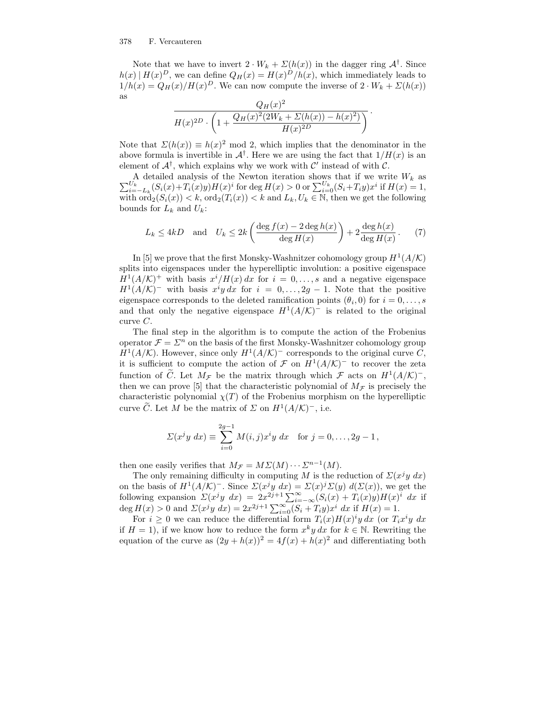Note that we have to invert  $2 \cdot W_k + \Sigma(h(x))$  in the dagger ring  $\mathcal{A}^{\dagger}$ . Since  $h(x) | H(x)^D$ , we can define  $Q_H(x) = H(x)^D/h(x)$ , which immediately leads to  $1/h(x) = Q_H(x)/H(x)^D$ . We can now compute the inverse of  $2 \cdot W_k + \Sigma(h(x))$ as

$$
\frac{Q_H(x)^2}{H(x)^{2D} \cdot \left(1 + \frac{Q_H(x)^2 (2W_k + \Sigma(h(x)) - h(x)^2)}{H(x)^{2D}}\right)}.
$$

Note that  $\Sigma(h(x)) \equiv h(x)^2 \mod 2$ , which implies that the denominator in the above formula is invertible in  $\mathcal{A}^{\dagger}$ . Here we are using the fact that  $1/H(x)$  is an element of  $\mathcal{A}^{\dagger}$ , which explains why we work with  $\mathcal{C}'$  instead of with  $\mathcal{C}$ .

 $\sum$ A detailed analysis of the Newton iteration shows that if we write  $W_k$  as  $U_k$ <br>  $U_k$ <br>  $i=-L_k(S_i(x)+T_i(x)y)H(x)^i$  for deg  $H(x) > 0$  or  $\sum_{i=0}^{U_k}(S_i+T_iy)x^i$  if  $H(x) = 1$ , with  $\text{ord}_2(S_i(x)) < k$ ,  $\text{ord}_2(T_i(x)) < k$  and  $L_k, U_k \in \mathbb{N}$ , then we get the following bounds for  $L_k$  and  $U_k$ :

$$
L_k \le 4kD \quad \text{and} \quad U_k \le 2k \left( \frac{\deg f(x) - 2 \deg h(x)}{\deg H(x)} \right) + 2 \frac{\deg h(x)}{\deg H(x)}.
$$
 (7)

In [5] we prove that the first Monsky-Washnitzer cohomology group  $H^1(A/K)$ splits into eigenspaces under the hyperelliptic involution: a positive eigenspace  $H^1(A/\mathcal{K})^+$  with basis  $x^i/H(x) dx$  for  $i = 0, \ldots, s$  and a negative eigenspace  $H^1(A/K)^-$  with basis  $x^iy\,dx$  for  $i=0,\ldots,2g-1$ . Note that the positive eigenspace corresponds to the deleted ramification points  $(\theta_i, 0)$  for  $i = 0, \ldots, s$ and that only the negative eigenspace  $H^1(A/\mathcal{K})^-$  is related to the original curve C.

The final step in the algorithm is to compute the action of the Frobenius operator  $\mathcal{F} = \Sigma^n$  on the basis of the first Monsky-Washnitzer cohomology group  $H^1(A/K)$ . However, since only  $H^1(A/K)$ <sup>-</sup> corresponds to the original curve C, it is sufficient to compute the action of  $\mathcal F$  on  $H^1(A/\mathcal{K})^-$  to recover the zeta function of  $\tilde{C}$ . Let  $M_{\mathcal{F}}$  be the matrix through which  $\mathcal{F}$  acts on  $H^1(A/K)^-$ , then we can prove [5] that the characteristic polynomial of  $M<sub>\mathcal{F}</sub>$  is precisely the characteristic polynomial  $\chi(T)$  of the Frobenius morphism on the hyperelliptic curve  $\tilde{C}$ . Let M be the matrix of  $\Sigma$  on  $H^1(A/K)^-$ , i.e.

$$
\Sigma(x^{j}y \, dx) \equiv \sum_{i=0}^{2g-1} M(i,j)x^{i}y \, dx \text{ for } j = 0, \ldots, 2g-1,
$$

then one easily verifies that  $M_{\mathcal{F}} = M \Sigma(M) \cdots \Sigma^{n-1}(M)$ .

The only remaining difficulty in computing M is the reduction of  $\Sigma(x^j y dx)$ on the basis of  $H^1(A/\mathcal{K})^-$ . Since  $\Sigma(x^jy\ dx) = \Sigma(x)^j\Sigma(y)\ d(\Sigma(x))$ , we get the following expansion  $\Sigma(x^jy\ dx) = 2x^{2j+1}\sum_{i=-\infty}^{\infty} (S_i(x) + T_i(x)y)H(x)^i\ dx$  if deg  $H(x) > 0$  and  $\Sigma(x^{j}y \, dx) = 2x^{2j+1} \sum_{i=0}^{\infty} (S_i + T_i y) x^{i} \, dx$  if  $H(x) = 1$ .

For  $i \geq 0$  we can reduce the differential form  $T_i(x)H(x)^i y dx$  (or  $T_ix^iy dx$ ) if  $H = 1$ , if we know how to reduce the form  $x^k y dx$  for  $k \in \mathbb{N}$ . Rewriting the equation of the curve as  $(2y + h(x))^2 = 4f(x) + h(x)^2$  and differentiating both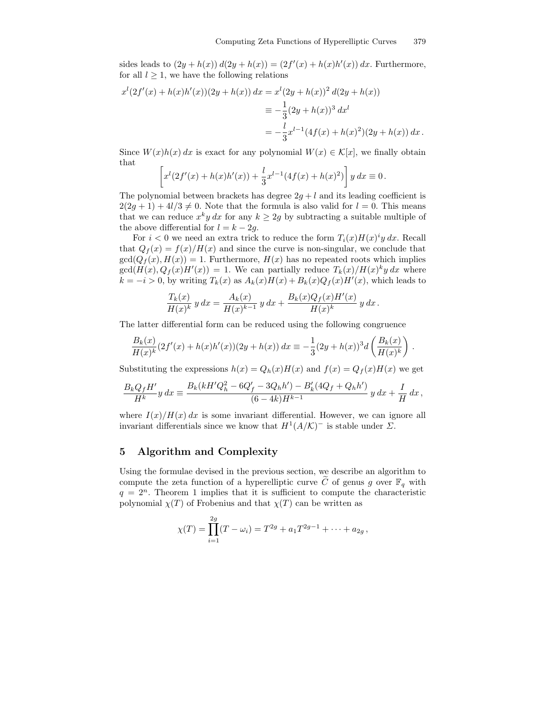sides leads to  $(2y + h(x)) d(2y + h(x)) = (2f'(x) + h(x)h'(x)) dx$ . Furthermore, for all  $l \geq 1$ , we have the following relations

$$
x^{l}(2f'(x) + h(x)h'(x))(2y + h(x)) dx = x^{l}(2y + h(x))^{2} d(2y + h(x))
$$
  

$$
\equiv -\frac{1}{3}(2y + h(x))^{3} dx^{l}
$$
  

$$
= -\frac{l}{3}x^{l-1}(4f(x) + h(x)^{2})(2y + h(x)) dx.
$$

Since  $W(x)h(x) dx$  is exact for any polynomial  $W(x) \in \mathcal{K}[x]$ , we finally obtain that

$$
\[x^{l}(2f'(x) + h(x)h'(x)) + \frac{l}{3}x^{l-1}(4f(x) + h(x)^{2})\]y dx \equiv 0.
$$

The polynomial between brackets has degree  $2g + l$  and its leading coefficient is  $2(2g + 1) + 4l/3 \neq 0$ . Note that the formula is also valid for  $l = 0$ . This means that we can reduce  $x^k y dx$  for any  $k \ge 2g$  by subtracting a suitable multiple of the above differential for  $l = k - 2g$ .

For  $i < 0$  we need an extra trick to reduce the form  $T_i(x)H(x)^iy dx$ . Recall that  $Q_f(x) = f(x)/H(x)$  and since the curve is non-singular, we conclude that  $gcd(Q_f(x), H(x)) = 1$ . Furthermore,  $H(x)$  has no repeated roots which implies  $gcd(H(x), Q_f(x)H'(x)) = 1$ . We can partially reduce  $T_k(x)/H(x)^k y dx$  where  $k = -i > 0$ , by writing  $T_k(x)$  as  $A_k(x)H(x) + B_k(x)Q_f(x)H'(x)$ , which leads to

$$
\frac{T_k(x)}{H(x)^k} y dx = \frac{A_k(x)}{H(x)^{k-1}} y dx + \frac{B_k(x)Q_f(x)H'(x)}{H(x)^k} y dx.
$$

The latter differential form can be reduced using the following congruence

$$
\frac{B_k(x)}{H(x)^k} (2f'(x) + h(x)h'(x))(2y + h(x)) dx \equiv -\frac{1}{3}(2y + h(x))^3 d\left(\frac{B_k(x)}{H(x)^k}\right).
$$

Substituting the expressions  $h(x) = Q_h(x)H(x)$  and  $f(x) = Q_f(x)H(x)$  we get

$$
\frac{B_k Q_f H'}{H^k} y \, dx \equiv \frac{B_k (k H' Q_h^2 - 6Q_f' - 3Q_h h') - B_k' (4Q_f + Q_h h')}{(6 - 4k) H^{k-1}} y \, dx + \frac{I}{H} dx,
$$

where  $I(x)/H(x) dx$  is some invariant differential. However, we can ignore all invariant differentials since we know that  $H^1(A/\mathcal{K})^-$  is stable under  $\Sigma$ .

## 5 Algorithm and Complexity

Using the formulae devised in the previous section, we describe an algorithm to compute the zeta function of a hyperelliptic curve C of genus g over  $\mathbb{F}_q$  with  $q = 2<sup>n</sup>$ . Theorem 1 implies that it is sufficient to compute the characteristic polynomial  $\chi(T)$  of Frobenius and that  $\chi(T)$  can be written as

$$
\chi(T) = \prod_{i=1}^{2g} (T - \omega_i) = T^{2g} + a_1 T^{2g-1} + \dots + a_{2g},
$$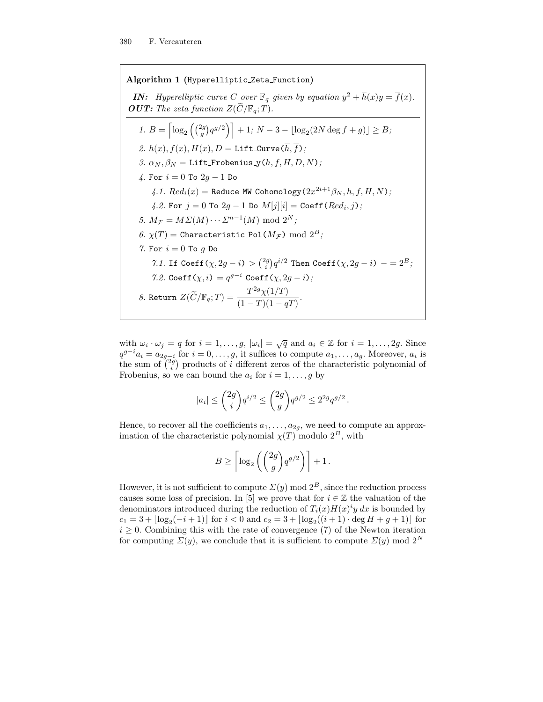Algorithm 1 (Hyperelliptic Zeta Function)

**IN:** Hyperelliptic curve C over  $\mathbb{F}_q$  given by equation  $y^2 + \overline{h}(x)y = \overline{f}(x)$ . **OUT:** The zeta function  $Z(\widetilde{C}/\mathbb{F}_q; T)$ .

1. 
$$
B = \left[ \log_2 \left( \binom{2g}{g} q^{g/2} \right) \right] + 1; N - 3 - \left[ \log_2 (2N \deg f + g) \right] \geq B;
$$
  
\n2.  $h(x), f(x), H(x), D = \text{Lift-Curve}(\overline{h}, \overline{f});$   
\n3.  $\alpha_N, \beta_N = \text{Lift-Frobenius}_N(h, f, H, D, N);$   
\n4. For  $i = 0$  To  $2g - 1$  Do  
\n4.1. Red<sub>i</sub>(x) = Reduce\_MW Cohomology  $(2x^{2i+1}\beta_N, h, f, H, N);$   
\n4.2. For  $j = 0$  To  $2g - 1$  Do  $M[j][i] = \text{Coeff}(Red_i, j);$   
\n5.  $M_{\mathcal{F}} = M \Sigma(M) \cdots \Sigma^{n-1}(M) \mod 2^N;$   
\n6.  $\chi(T) = \text{Characteristic-Pol}(M_{\mathcal{F}}) \mod 2^B;$   
\n7. For  $i = 0$  To  $g$  Do  
\n7.1. If Coeff $(\chi, 2g - i) > {2g \choose i} q^{i/2}$  Then Coeff $(\chi, 2g - i) - = 2^B;$   
\n7.2. Coeff $(\chi, i) = q^{g-i} \text{ Coeff}(\chi, 2g - i);$   
\n8. Return  $Z(\widetilde{C}/\mathbb{F}_q; T) = \frac{T^{2g}\chi(1/T)}{(1 - T)(1 - qT)}.$ 

with  $\omega_i \cdot \omega_j = q$  for  $i = 1, \ldots, g$ ,  $|\omega_i| = \sqrt{q}$  and  $a_i \in \mathbb{Z}$  for  $i = 1, \ldots, 2g$ . Since  $q^{g-i}a_i = a_{2g-i}$  for  $i = 0, \ldots, g$ , it suffices to compute  $a_1, \ldots, a_g$ . Moreover,  $a_i$  is the sum of  $\binom{2g}{i}$  products of i different zeros of the characteristic polynomial of Frobenius, so we can bound the  $a_i$  for  $i = 1, \ldots, g$  by

$$
|a_i| \le \binom{2g}{i} q^{i/2} \le \binom{2g}{g} q^{g/2} \le 2^{2g} q^{g/2}.
$$

Hence, to recover all the coefficients  $a_1, \ldots, a_{2g}$ , we need to compute an approximation of the characteristic polynomial  $\chi(T)$  modulo  $2^B$ , with

$$
B \ge \left\lceil \log_2 \left( \binom{2g}{g} q^{g/2} \right) \right\rceil + 1 \, .
$$

However, it is not sufficient to compute  $\Sigma(y)$  mod  $2^B$ , since the reduction process causes some loss of precision. In [5] we prove that for  $i \in \mathbb{Z}$  the valuation of the denominators introduced during the reduction of  $T_i(x)H(x)^iy dx$  is bounded by  $c_1 = 3 + \lfloor \log_2(-i + 1) \rfloor$  for  $i < 0$  and  $c_2 = 3 + \lfloor \log_2((i + 1) \cdot \deg H + g + 1) \rfloor$  for  $i \geq 0$ . Combining this with the rate of convergence (7) of the Newton iteration for computing  $\Sigma(y)$ , we conclude that it is sufficient to compute  $\Sigma(y)$  mod  $2^N$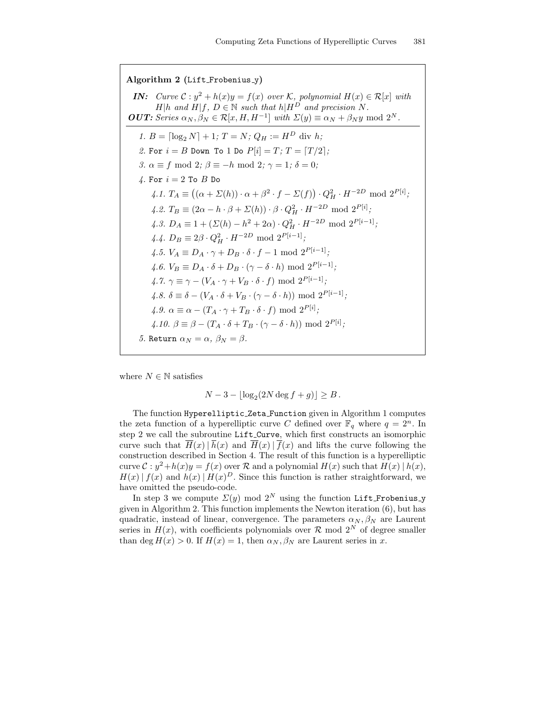Algorithm 2 (Lift Frobenius y) **IN:** Curve  $C: y^2 + h(x)y = f(x)$  over  $K$ , polynomial  $H(x) \in \mathcal{R}[x]$  with  $H|h$  and  $H|f, D \in \mathbb{N}$  such that  $h|H^D$  and precision N. **OUT:** Series  $\alpha_N, \beta_N \in \mathcal{R}[x, H, H^{-1}]$  with  $\Sigma(y) \equiv \alpha_N + \beta_N y \mod 2^N$ . 1.  $B = \left[\log_2 N\right] + 1; T = N; Q_H := H^D$  div h; 2. For  $i = B$  Down To 1 Do  $P[i] = T$ ;  $T = \lceil T/2 \rceil$ ; 3.  $\alpha \equiv f \mod 2$ ;  $\beta \equiv -h \mod 2$ ;  $\gamma = 1$ ;  $\delta = 0$ ; 4. For  $i = 2$  To  $B$  Do 4.1.  $T_A \equiv ((\alpha + \Sigma(h)) \cdot \alpha + \beta^2 \cdot f - \Sigma(f)) \cdot Q_H^2 \cdot H^{-2D} \mod 2^{P[i]};$ 4.2.  $T_B \equiv (2\alpha - h \cdot \beta + \Sigma(h)) \cdot \beta \cdot Q_H^2 \cdot H^{-2D} \text{ mod } 2^{P[i]};$ 4.3.  $D_A \equiv 1 + (\Sigma(h) - h^2 + 2\alpha) \cdot Q_H^2 \cdot H^{-2D} \text{ mod } 2^{P[i-1]};$ 4.4.  $D_B \equiv 2\beta \cdot Q_H^2 \cdot H^{-2D} \text{ mod } 2^{P[i-1]};$ 4.5.  $V_A \equiv D_A \cdot \gamma + D_B \cdot \delta \cdot f - 1 \text{ mod } 2^{P[i-1]}$ ; 4.6.  $V_B \equiv D_A \cdot \delta + D_B \cdot (\gamma - \delta \cdot h) \mod 2^{P[i-1]};$ 4.7.  $\gamma \equiv \gamma - (V_A \cdot \gamma + V_B \cdot \delta \cdot f) \mod 2^{P[i-1]}$ ; 4.8.  $\delta \equiv \delta - (V_A \cdot \delta + V_B \cdot (\gamma - \delta \cdot h)) \mod 2^{P[i-1]};$ 4.9.  $\alpha \equiv \alpha - (T_A \cdot \gamma + T_B \cdot \delta \cdot f) \mod 2^{P[i]}$ ; 4.10.  $\beta \equiv \beta - (T_A \cdot \delta + T_B \cdot (\gamma - \delta \cdot h)) \mod 2^{P[i]}$ ; 5. Return  $\alpha_N = \alpha$ ,  $\beta_N = \beta$ .

where  $N \in \mathbb{N}$  satisfies

$$
N-3 - \lfloor \log_2(2N \deg f + g) \rfloor \ge B.
$$

The function Hyperelliptic Zeta Function given in Algorithm 1 computes the zeta function of a hyperelliptic curve C defined over  $\mathbb{F}_q$  where  $q = 2^n$ . In step 2 we call the subroutine Lift Curve, which first constructs an isomorphic curve such that  $\overline{H}(x) | \overline{h}(x)$  and  $\overline{H}(x) | \overline{f}(x)$  and lifts the curve following the construction described in Section 4. The result of this function is a hyperelliptic curve  $\mathcal{C}: y^2 + h(x)y = f(x)$  over  $\mathcal{R}$  and a polynomial  $H(x)$  such that  $H(x) | h(x)$ ,  $H(x) | f(x)$  and  $h(x) | H(x)^D$ . Since this function is rather straightforward, we have omitted the pseudo-code.

In step 3 we compute  $\Sigma(y)$  mod  $2^N$  using the function Lift Frobenius y given in Algorithm 2. This function implements the Newton iteration (6), but has quadratic, instead of linear, convergence. The parameters  $\alpha_N, \beta_N$  are Laurent series in  $H(x)$ , with coefficients polynomials over  $\mathcal R$  mod  $2^N$  of degree smaller than deg  $H(x) > 0$ . If  $H(x) = 1$ , then  $\alpha_N, \beta_N$  are Laurent series in x.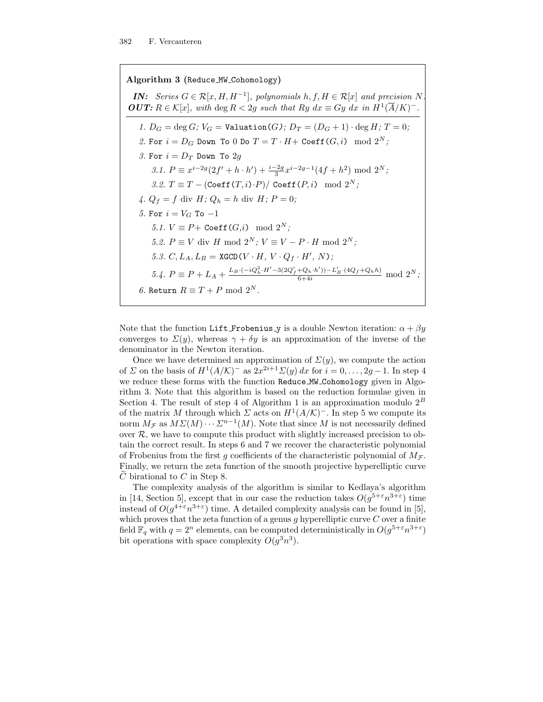Algorithm 3 (Reduce MW Cohomology) **IN:** Series  $G \in \mathcal{R}[x, H, H^{-1}]$ , polynomials  $h, f, H \in \mathcal{R}[x]$  and precision N. **OUT:**  $R \in \mathcal{K}[x]$ , with deg  $R < 2g$  such that  $Ry \, dx \equiv Gy \, dx \, \text{in } H^1(\overline{A}/K)^-$ . 1.  $D_G = \deg G$ ;  $V_G = \text{Valuation}(G)$ ;  $D_T = (D_G + 1) \cdot \deg H$ ;  $T = 0$ ; 2. For  $i = D_G$  Down To 0 Do  $T = T \cdot H + \text{Coeff}(G, i) \mod 2^N$ ; 3. For  $i = D_T$  Down To 2g 3.1.  $P \equiv x^{i-2g} (2f' + h \cdot h') + \frac{i-2g}{3} x^{i-2g-1} (4f + h^2) \mod 2^N;$ 3.2.  $T \equiv T - (\text{Coeff}(T, i) \cdot P) / \text{Coeff}(P, i) \mod 2^N;$ 4.  $Q_f = f$  div  $H$ ;  $Q_h = h$  div  $H$ ;  $P = 0$ ; 5. For  $i = V_G$  To  $-1$ 5.1.  $V \equiv P + \text{Coeff}(G, i) \mod 2^N;$ 5.2.  $P \equiv V$  div H mod  $2^N$ ;  $V \equiv V - P \cdot H$  mod  $2^N$ ; 5.3.  $C, L_A, L_B = \text{XGCD}(V \cdot H, V \cdot Q_f \cdot H', N);$ 5.4.  $P \equiv P + L_A + \frac{L_B \cdot (-iQ_h^2 \cdot H' - 3(2Q_f' + Q_h \cdot h')) - L_B' \cdot (4Q_f + Q_h h)}{6 + 4i} \mod 2^N;$ 6. Return  $R \equiv T + P \mod 2^N$ .

Note that the function Lift Frobenius y is a double Newton iteration:  $\alpha + \beta y$ converges to  $\Sigma(y)$ , whereas  $\gamma + \delta y$  is an approximation of the inverse of the denominator in the Newton iteration.

Once we have determined an approximation of  $\Sigma(y)$ , we compute the action of  $\Sigma$  on the basis of  $H^1(A/K)^-$  as  $2x^{2i+1}\Sigma(y) dx$  for  $i = 0, \ldots, 2g-1$ . In step 4 we reduce these forms with the function Reduce MW Cohomology given in Algorithm 3. Note that this algorithm is based on the reduction formulae given in Section 4. The result of step 4 of Algorithm 1 is an approximation modulo  $2^B$ of the matrix M through which  $\Sigma$  acts on  $H^1(A/K)^-$ . In step 5 we compute its norm  $M_{\mathcal{F}}$  as  $M\Sigma(M)\cdots \Sigma^{n-1}(M)$ . Note that since M is not necessarily defined over  $R$ , we have to compute this product with slightly increased precision to obtain the correct result. In steps 6 and 7 we recover the characteristic polynomial of Frobenius from the first g coefficients of the characteristic polynomial of  $M_{\mathcal{F}}$ . Finally, we return the zeta function of the smooth projective hyperelliptic curve  $C$  birational to  $C$  in Step 8.

The complexity analysis of the algorithm is similar to Kedlaya's algorithm in [14, Section 5], except that in our case the reduction takes  $O(g^{5+\epsilon}n^{3+\epsilon})$  time instead of  $O(g^{4+\epsilon}n^{3+\epsilon})$  time. A detailed complexity analysis can be found in [5], which proves that the zeta function of a genus g hyperelliptic curve  $C$  over a finite field  $\mathbb{F}_q$  with  $q=2^n$  elements, can be computed deterministically in  $O(g^{5+\varepsilon}n^{3+\varepsilon})$ bit operations with space complexity  $O(g^3n^3)$ .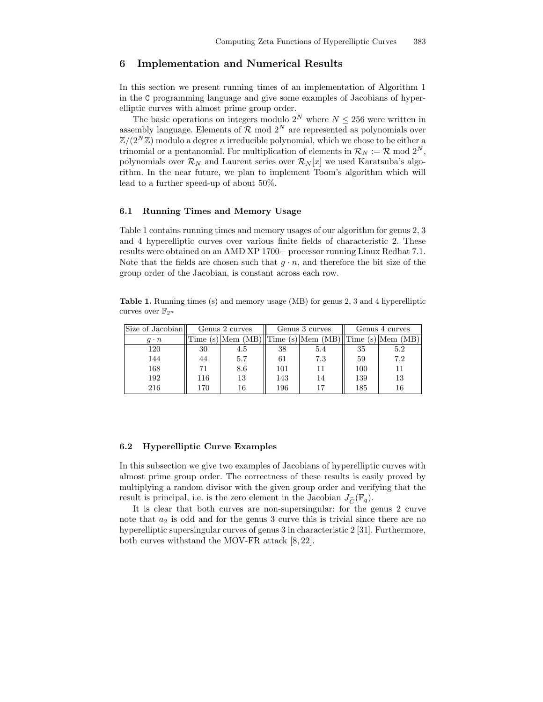## 6 Implementation and Numerical Results

In this section we present running times of an implementation of Algorithm 1 in the C programming language and give some examples of Jacobians of hyperelliptic curves with almost prime group order.

The basic operations on integers modulo  $2^N$  where  $N \leq 256$  were written in assembly language. Elements of  $\mathcal{R}$  mod  $2^N$  are represented as polynomials over  $\mathbb{Z}/(2^N\mathbb{Z})$  modulo a degree *n* irreducible polynomial, which we chose to be either a trinomial or a pentanomial. For multiplication of elements in  $\mathcal{R}_N := \mathcal{R} \mod 2^N$ , polynomials over  $\mathcal{R}_N$  and Laurent series over  $\mathcal{R}_N[x]$  we used Karatsuba's algorithm. In the near future, we plan to implement Toom's algorithm which will lead to a further speed-up of about 50%.

## 6.1 Running Times and Memory Usage

Table 1 contains running times and memory usages of our algorithm for genus 2, 3 and 4 hyperelliptic curves over various finite fields of characteristic 2. These results were obtained on an AMD XP 1700+ processor running Linux Redhat 7.1. Note that the fields are chosen such that  $g \cdot n$ , and therefore the bit size of the group order of the Jacobian, is constant across each row.

Table 1. Running times (s) and memory usage (MB) for genus 2, 3 and 4 hyperelliptic curves over  $\mathbb{F}_{2^n}$ 

| Size of Jacobian | Genus 2 curves |          | Genus 3 curves           |          | Genus 4 curves           |             |
|------------------|----------------|----------|--------------------------|----------|--------------------------|-------------|
| $q \cdot n$      | Time           | Mem (MB) | $\sqrt{\text{Time (s)}}$ | Mem (MB) | $\mathbf{I}$ Time<br>(S) | (MB)<br>Mem |
| 120              | 30             | 4.5      | 38                       | 5.4      | 35                       | 5.2         |
| 144              | 44             | 5.7      | 61                       | 7.3      | 59                       | 7.2         |
| 168              | 71             | 8.6      | 101                      | 11       | 100                      | 11          |
| 192              | 116            | 13       | 143                      | 14       | 139                      | 13          |
| 216              | 170            | 16       | 196                      | 17       | 185                      | 16          |

## 6.2 Hyperelliptic Curve Examples

In this subsection we give two examples of Jacobians of hyperelliptic curves with almost prime group order. The correctness of these results is easily proved by multiplying a random divisor with the given group order and verifying that the result is principal, i.e. is the zero element in the Jacobian  $J_{\widetilde{C}}(\mathbb{F}_q)$ .

It is clear that both curves are non-supersingular: for the genus 2 curve note that  $a_2$  is odd and for the genus 3 curve this is trivial since there are no hyperelliptic supersingular curves of genus 3 in characteristic 2 [31]. Furthermore, both curves withstand the MOV-FR attack [8, 22].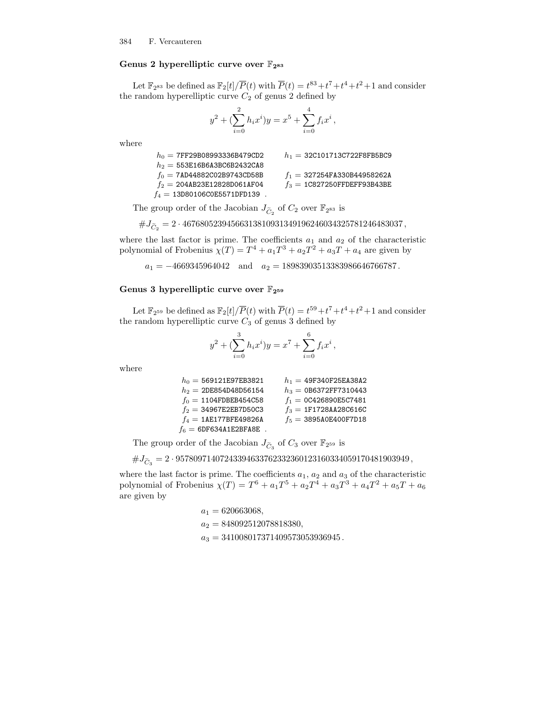## Genus 2 hyperelliptic curve over  $\mathbb{F}_{2^{83}}$

Let  $\mathbb{F}_{2^{83}}$  be defined as  $\mathbb{F}_{2}[t]/\overline{P}(t)$  with  $\overline{P}(t) = t^{83} + t^7 + t^4 + t^2 + 1$  and consider the random hyperelliptic curve  $C_2$  of genus 2 defined by

$$
y^{2} + \left(\sum_{i=0}^{2} h_{i} x^{i}\right) y = x^{5} + \sum_{i=0}^{4} f_{i} x^{i},
$$

where

| $h_0 = 7$ FF29B08993336B479CD2  | $h_1 = 32C101713C722F8FBBC9$   |
|---------------------------------|--------------------------------|
| $h_2 = 553E16B6A3BC6B2432CA8$   |                                |
| $f_0 = 7AD44882CO2B9743CD58B$   | $f_1 = 327254F$ A330B44958262A |
| $f_2 = 204AB23E12828D061AF04$   | $f_3 = 1$ C827250FFDEFF93B43BE |
| $f_4 = 13D80106C0E5571DFD139$ . |                                |

The group order of the Jacobian  $J_{\tilde{C}_2}$  of  $C_2$  over  $\mathbb{F}_{2^{83}}$  is

 $\#J_{\widetilde C_2}=2\cdot 46768052394566313810931349196246034325781246483037\,,$ 

where the last factor is prime. The coefficients  $a_1$  and  $a_2$  of the characteristic polynomial of Frobenius  $\chi(T) = T^4 + a_1 T^3 + a_2 T^2 + a_3 T + a_4$  are given by

 $a_1 = -4669345964042$  and  $a_2 = 18983903513383986646766787$ .

## Genus 3 hyperelliptic curve over  $\mathbb{F}_{2^{59}}$

Let  $\mathbb{F}_{2^{59}}$  be defined as  $\mathbb{F}_{2}[t]/\overline{P}(t)$  with  $\overline{P}(t) = t^{59} + t^7 + t^4 + t^2 + 1$  and consider the random hyperelliptic curve  $C_3$  of genus 3 defined by

$$
y^{2} + \left(\sum_{i=0}^{3} h_{i} x^{i}\right) y = x^{7} + \sum_{i=0}^{6} f_{i} x^{i},
$$

where

| $h_0 = 569121E97EB3821$   | $h_1 = 49F340F25EA38A2$  |
|---------------------------|--------------------------|
| $h_2 = 2$ DE854D48D56154  | $h_3 = 0B6372$ FF7310443 |
| $f_0 = 1104$ FDBEB454C58  | $f_1 = 0C426890E5C7481$  |
| $f_2 = 34967E2EB7D50C3$   | $f_3 = 1$ F1728AA28C616C |
| $f_4 = 1AE177BFE49826A$   | $f_5 = 3895A0E400F7D18$  |
| $f_6 = 6DF634A1E2BFABE$ . |                          |

The group order of the Jacobian  $J_{\tilde{C}_3}$  of  $C_3$  over  $\mathbb{F}_{2^{59}}$  is

 $\#J_{\widetilde C_3}=2\cdot 95780971407243394633762332360123160334059170481903949\,,$ 

where the last factor is prime. The coefficients  $a_1, a_2$  and  $a_3$  of the characteristic polynomial of Frobenius  $\chi(T) = T^6 + a_1 T^5 + a_2 T^4 + a_3 T^3 + a_4 T^2 + a_5 T + a_6$ are given by

> $a_1 = 620663068,$  $a_2 = 848092512078818380,$  $a_3 = 341008017371409573053936945$ .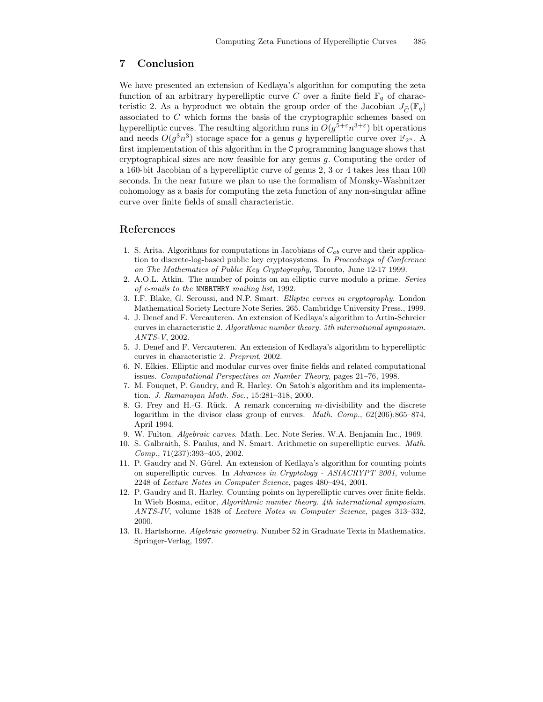# 7 Conclusion

We have presented an extension of Kedlaya's algorithm for computing the zeta function of an arbitrary hyperelliptic curve C over a finite field  $\mathbb{F}_q$  of characteristic 2. As a byproduct we obtain the group order of the Jacobian  $J_{\widetilde{C}}(\mathbb{F}_q)$ associated to C which forms the basis of the cryptographic schemes based on hyperelliptic curves. The resulting algorithm runs in  $O(g^{5+\epsilon}n^{3+\epsilon})$  bit operations and needs  $O(g^3n^3)$  storage space for a genus g hyperelliptic curve over  $\mathbb{F}_{2^n}$ . A first implementation of this algorithm in the C programming language shows that cryptographical sizes are now feasible for any genus g. Computing the order of a 160-bit Jacobian of a hyperelliptic curve of genus 2, 3 or 4 takes less than 100 seconds. In the near future we plan to use the formalism of Monsky-Washnitzer cohomology as a basis for computing the zeta function of any non-singular affine curve over finite fields of small characteristic.

## References

- 1. S. Arita. Algorithms for computations in Jacobians of  $C_{ab}$  curve and their application to discrete-log-based public key cryptosystems. In Proceedings of Conference on The Mathematics of Public Key Cryptography, Toronto, June 12-17 1999.
- 2. A.O.L. Atkin. The number of points on an elliptic curve modulo a prime. Series of e-mails to the NMBRTHRY mailing list, 1992.
- 3. I.F. Blake, G. Seroussi, and N.P. Smart. Elliptic curves in cryptography. London Mathematical Society Lecture Note Series. 265. Cambridge University Press., 1999.
- 4. J. Denef and F. Vercauteren. An extension of Kedlaya's algorithm to Artin-Schreier curves in characteristic 2. Algorithmic number theory. 5th international symposium. ANTS-V, 2002.
- 5. J. Denef and F. Vercauteren. An extension of Kedlaya's algorithm to hyperelliptic curves in characteristic 2. Preprint, 2002.
- 6. N. Elkies. Elliptic and modular curves over finite fields and related computational issues. Computational Perspectives on Number Theory, pages 21–76, 1998.
- 7. M. Fouquet, P. Gaudry, and R. Harley. On Satoh's algorithm and its implementation. J. Ramanujan Math. Soc., 15:281–318, 2000.
- 8. G. Frey and H.-G. Rück. A remark concerning  $m$ -divisibility and the discrete logarithm in the divisor class group of curves. Math. Comp., 62(206):865-874, April 1994.
- 9. W. Fulton. Algebraic curves. Math. Lec. Note Series. W.A. Benjamin Inc., 1969.
- 10. S. Galbraith, S. Paulus, and N. Smart. Arithmetic on superelliptic curves. Math. Comp., 71(237):393–405, 2002.
- 11. P. Gaudry and N. Gürel. An extension of Kedlaya's algorithm for counting points on superelliptic curves. In Advances in Cryptology - ASIACRYPT 2001, volume 2248 of Lecture Notes in Computer Science, pages 480–494, 2001.
- 12. P. Gaudry and R. Harley. Counting points on hyperelliptic curves over finite fields. In Wieb Bosma, editor, Algorithmic number theory. 4th international symposium. ANTS-IV, volume 1838 of Lecture Notes in Computer Science, pages 313–332, 2000.
- 13. R. Hartshorne. Algebraic geometry. Number 52 in Graduate Texts in Mathematics. Springer-Verlag, 1997.